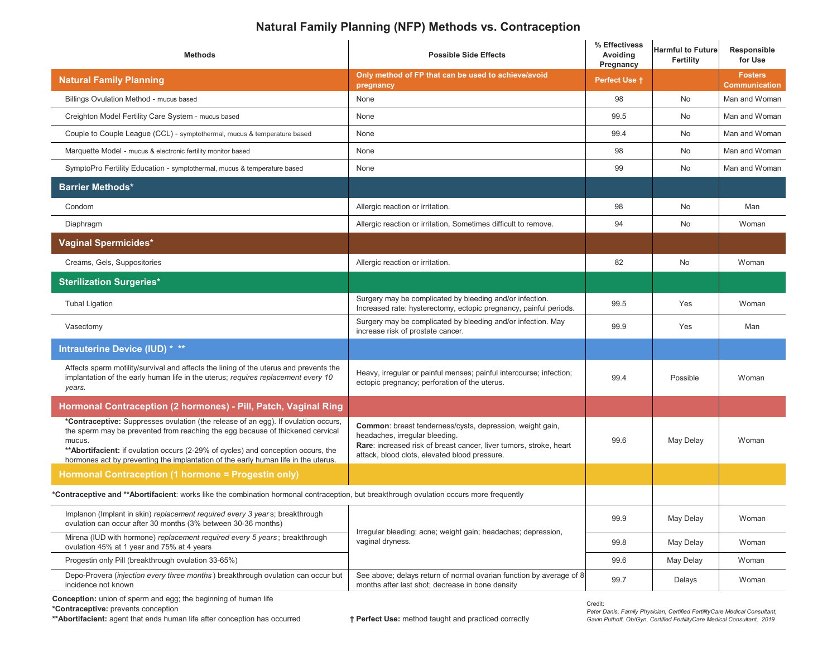## **Natural Family Planning (NFP) Methods vs. Contraception**

| <b>Methods</b>                                                                                                                                                                                                                                                                                                                                             | <b>Possible Side Effects</b>                                                                                                                                                                                       | % Effectivess<br>Avoiding<br>Pregnancy | <b>Harmful to Future</b><br>Fertility | Responsible<br>for Use                 |
|------------------------------------------------------------------------------------------------------------------------------------------------------------------------------------------------------------------------------------------------------------------------------------------------------------------------------------------------------------|--------------------------------------------------------------------------------------------------------------------------------------------------------------------------------------------------------------------|----------------------------------------|---------------------------------------|----------------------------------------|
| <b>Natural Family Planning</b>                                                                                                                                                                                                                                                                                                                             | Only method of FP that can be used to achieve/avoid<br>pregnancy                                                                                                                                                   | <b>Perfect Use +</b>                   |                                       | <b>Fosters</b><br><b>Communication</b> |
| Billings Ovulation Method - mucus based                                                                                                                                                                                                                                                                                                                    | None                                                                                                                                                                                                               | 98                                     | <b>No</b>                             | Man and Woman                          |
| Creighton Model Fertility Care System - mucus based                                                                                                                                                                                                                                                                                                        | None                                                                                                                                                                                                               | 99.5                                   | <b>No</b>                             | Man and Woman                          |
| Couple to Couple League (CCL) - symptothermal, mucus & temperature based                                                                                                                                                                                                                                                                                   | None                                                                                                                                                                                                               | 99.4                                   | No                                    | Man and Woman                          |
| Marquette Model - mucus & electronic fertility monitor based                                                                                                                                                                                                                                                                                               | None                                                                                                                                                                                                               | 98                                     | No                                    | Man and Woman                          |
| SymptoPro Fertility Education - symptothermal, mucus & temperature based                                                                                                                                                                                                                                                                                   | None                                                                                                                                                                                                               | 99                                     | No                                    | Man and Woman                          |
| <b>Barrier Methods*</b>                                                                                                                                                                                                                                                                                                                                    |                                                                                                                                                                                                                    |                                        |                                       |                                        |
| Condom                                                                                                                                                                                                                                                                                                                                                     | Allergic reaction or irritation.                                                                                                                                                                                   | 98                                     | No                                    | Man                                    |
| Diaphragm                                                                                                                                                                                                                                                                                                                                                  | Allergic reaction or irritation, Sometimes difficult to remove.                                                                                                                                                    | 94                                     | No                                    | Woman                                  |
| <b>Vaginal Spermicides*</b>                                                                                                                                                                                                                                                                                                                                |                                                                                                                                                                                                                    |                                        |                                       |                                        |
| Creams, Gels, Suppositories                                                                                                                                                                                                                                                                                                                                | Allergic reaction or irritation.                                                                                                                                                                                   | 82                                     | No                                    | Woman                                  |
| <b>Sterilization Surgeries*</b>                                                                                                                                                                                                                                                                                                                            |                                                                                                                                                                                                                    |                                        |                                       |                                        |
| <b>Tubal Ligation</b>                                                                                                                                                                                                                                                                                                                                      | Surgery may be complicated by bleeding and/or infection.<br>Increased rate: hysterectomy, ectopic pregnancy, painful periods.                                                                                      | 99.5                                   | Yes                                   | Woman                                  |
| Vasectomy                                                                                                                                                                                                                                                                                                                                                  | Surgery may be complicated by bleeding and/or infection. May<br>increase risk of prostate cancer.                                                                                                                  | 99.9                                   | Yes                                   | Man                                    |
| Intrauterine Device (IUD) * **                                                                                                                                                                                                                                                                                                                             |                                                                                                                                                                                                                    |                                        |                                       |                                        |
| Affects sperm motility/survival and affects the lining of the uterus and prevents the<br>implantation of the early human life in the uterus; requires replacement every 10<br>years.                                                                                                                                                                       | Heavy, irregular or painful menses; painful intercourse; infection;<br>ectopic pregnancy; perforation of the uterus.                                                                                               | 99.4                                   | Possible                              | Woman                                  |
| Hormonal Contraception (2 hormones) - Pill, Patch, Vaginal Ring                                                                                                                                                                                                                                                                                            |                                                                                                                                                                                                                    |                                        |                                       |                                        |
| *Contraceptive: Suppresses ovulation (the release of an egg). If ovulation occurs,<br>the sperm may be prevented from reaching the egg because of thickened cervical<br>mucus.<br>** Abortifacient: if ovulation occurs (2-29% of cycles) and conception occurs, the<br>hormones act by preventing the implantation of the early human life in the uterus. | Common: breast tenderness/cysts, depression, weight gain,<br>headaches, irregular bleeding.<br>Rare: increased risk of breast cancer, liver tumors, stroke, heart<br>attack, blood clots, elevated blood pressure. | 99.6                                   | May Delay                             | Woman                                  |
| Hormonal Contraception (1 hormone = Progestin only)                                                                                                                                                                                                                                                                                                        |                                                                                                                                                                                                                    |                                        |                                       |                                        |
| *Contraceptive and **Abortifacient: works like the combination hormonal contraception, but breakthrough ovulation occurs more frequently                                                                                                                                                                                                                   |                                                                                                                                                                                                                    |                                        |                                       |                                        |
| Implanon (Implant in skin) replacement required every 3 years; breakthrough<br>ovulation can occur after 30 months (3% between 30-36 months)                                                                                                                                                                                                               | Irregular bleeding; acne; weight gain; headaches; depression,<br>vaginal dryness.                                                                                                                                  | 99.9                                   | May Delay                             | Woman                                  |
| Mirena (IUD with hormone) replacement required every 5 years; breakthrough<br>ovulation 45% at 1 year and 75% at 4 years                                                                                                                                                                                                                                   |                                                                                                                                                                                                                    | 99.8                                   | May Delay                             | Woman                                  |
| Progestin only Pill (breakthrough ovulation 33-65%)                                                                                                                                                                                                                                                                                                        |                                                                                                                                                                                                                    | 99.6                                   | May Delay                             | Woman                                  |
| Depo-Provera (injection every three months) breakthrough ovulation can occur but<br>incidence not known                                                                                                                                                                                                                                                    | See above; delays return of normal ovarian function by average of 8<br>months after last shot; decrease in bone density                                                                                            | 99.7                                   | Delays                                | Woman                                  |

**Conception:** union of sperm and egg; the beginning of human life **\*Contraceptive:** prevents conception

**\*\*Abortifacient:** agent that ends human life after conception has occurred **† Perfect Use:** method taught and practiced correctly

Credit:

 *Peter Danis, Family Physician, Certified FertilityCare Medical Consultant, Gavin Puthoff, Ob/Gyn, Certified FertilityCare Medical Consultant, 2019*